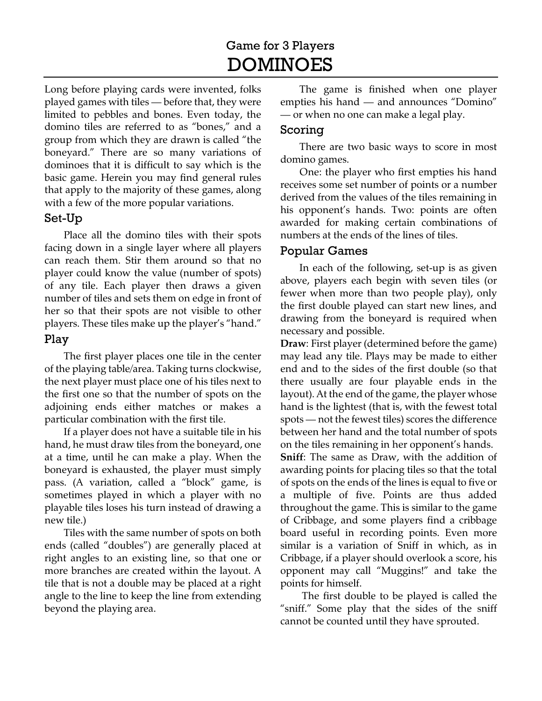# Game for 3 Players DOMINOES

Long before playing cards were invented, folks played games with tiles — before that, they were limited to pebbles and bones. Even today, the domino tiles are referred to as "bones," and a group from which they are drawn is called "the boneyard." There are so many variations of dominoes that it is difficult to say which is the basic game. Herein you may find general rules that apply to the majority of these games, along with a few of the more popular variations.

## Set-Up

Place all the domino tiles with their spots facing down in a single layer where all players can reach them. Stir them around so that no player could know the value (number of spots) of any tile. Each player then draws a given number of tiles and sets them on edge in front of her so that their spots are not visible to other players. These tiles make up the player's "hand."

#### Play

The first player places one tile in the center of the playing table/area. Taking turns clockwise, the next player must place one of his tiles next to the first one so that the number of spots on the adjoining ends either matches or makes a particular combination with the first tile.

If a player does not have a suitable tile in his hand, he must draw tiles from the boneyard, one at a time, until he can make a play. When the boneyard is exhausted, the player must simply pass. (A variation, called a "block" game, is sometimes played in which a player with no playable tiles loses his turn instead of drawing a new tile.)

Tiles with the same number of spots on both ends (called "doubles") are generally placed at right angles to an existing line, so that one or more branches are created within the layout. A tile that is not a double may be placed at a right angle to the line to keep the line from extending beyond the playing area.

The game is finished when one player empties his hand — and announces "Domino" — or when no one can make a legal play.

### Scoring

There are two basic ways to score in most domino games.

One: the player who first empties his hand receives some set number of points or a number derived from the values of the tiles remaining in his opponent's hands. Two: points are often awarded for making certain combinations of numbers at the ends of the lines of tiles.

#### Popular Games

In each of the following, set-up is as given above, players each begin with seven tiles (or fewer when more than two people play), only the first double played can start new lines, and drawing from the boneyard is required when necessary and possible.

**Draw**: First player (determined before the game) may lead any tile. Plays may be made to either end and to the sides of the first double (so that there usually are four playable ends in the layout). At the end of the game, the player whose hand is the lightest (that is, with the fewest total spots — not the fewest tiles) scores the difference between her hand and the total number of spots on the tiles remaining in her opponent's hands.

**Sniff**: The same as Draw, with the addition of awarding points for placing tiles so that the total of spots on the ends of the lines is equal to five or a multiple of five. Points are thus added throughout the game. This is similar to the game of Cribbage, and some players find a cribbage board useful in recording points. Even more similar is a variation of Sniff in which, as in Cribbage, if a player should overlook a score, his opponent may call "Muggins!" and take the points for himself.

 The first double to be played is called the "sniff." Some play that the sides of the sniff cannot be counted until they have sprouted.